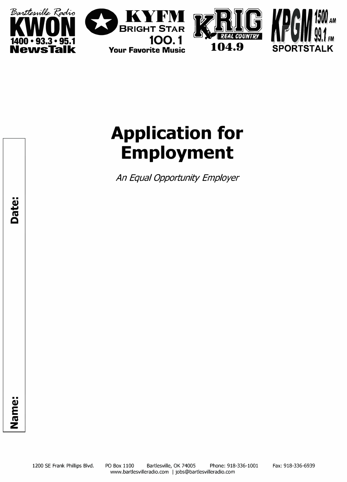





# **Application for Employment**

*An Equal Opportunity Employer*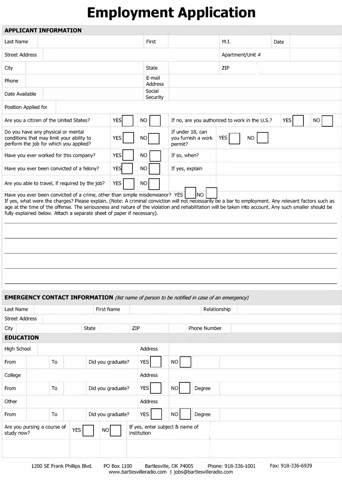## **Employment Application**

| <b>APPLICANT INFORMATION</b>                                                                                                     |                                                      |                  |                   |                                                   |                 |              |                                                |            |           |
|----------------------------------------------------------------------------------------------------------------------------------|------------------------------------------------------|------------------|-------------------|---------------------------------------------------|-----------------|--------------|------------------------------------------------|------------|-----------|
| Last Name                                                                                                                        |                                                      |                  |                   | First                                             |                 | M.I.         |                                                | Date       |           |
| <b>Street Address</b>                                                                                                            |                                                      |                  |                   |                                                   |                 |              | Apartment/Unit #                               |            |           |
| City                                                                                                                             |                                                      |                  |                   | <b>State</b>                                      |                 | <b>ZIP</b>   |                                                |            |           |
| Phone                                                                                                                            |                                                      |                  |                   | E-mail<br>Address                                 |                 |              |                                                |            |           |
| Date Available                                                                                                                   |                                                      |                  |                   | Social<br>Security                                |                 |              |                                                |            |           |
| Position Applied for                                                                                                             |                                                      |                  |                   |                                                   |                 |              |                                                |            |           |
| Are you a citizen of the United States?                                                                                          |                                                      |                  | <b>YES</b>        | <b>NO</b>                                         |                 |              | If no, are you authorized to work in the U.S.? | <b>YES</b> | <b>NO</b> |
| Do you have any physical or mental<br>conditions that may limit your ability to<br>YES<br>perform the job for which you applied? |                                                      |                  | <b>NO</b>         | If under 18, can<br>you furnish a work<br>permit? | <b>YES</b>      | NO           |                                                |            |           |
|                                                                                                                                  | <b>YES</b><br>Have you ever worked for this company? |                  |                   | <b>NO</b>                                         | If so, when?    |              |                                                |            |           |
| Have you ever been convicted of a felony?                                                                                        |                                                      |                  | <b>YES</b>        | <b>NO</b>                                         | If yes, explain |              |                                                |            |           |
| Are you able to travel, if required by the job?                                                                                  |                                                      |                  | YES               | <b>NO</b>                                         |                 |              |                                                |            |           |
| <b>EMERGENCY CONTACT INFORMATION</b> (list name of person to be notified in case of an emergency)                                |                                                      |                  |                   |                                                   |                 |              |                                                |            |           |
| Last Name                                                                                                                        |                                                      |                  | First Name        |                                                   |                 | Relationship |                                                |            |           |
| <b>Street Address</b>                                                                                                            |                                                      |                  |                   |                                                   |                 |              |                                                |            |           |
| City<br><b>EDUCATION</b>                                                                                                         |                                                      | <b>State</b>     |                   | ZIP                                               |                 | Phone Number |                                                |            |           |
| <b>High School</b>                                                                                                               |                                                      |                  |                   | Address                                           |                 |              |                                                |            |           |
| From                                                                                                                             | To                                                   |                  | Did you graduate? | <b>YES</b>                                        | <b>NO</b>       |              |                                                |            |           |
| College                                                                                                                          |                                                      |                  |                   | Address                                           |                 |              |                                                |            |           |
| From                                                                                                                             | To                                                   |                  | Did you graduate? | <b>YES</b>                                        | <b>NO</b>       | Degree       |                                                |            |           |
| Other                                                                                                                            |                                                      |                  |                   | Address                                           |                 |              |                                                |            |           |
| From                                                                                                                             | To                                                   |                  | Did you graduate? | <b>YES</b>                                        | <b>NO</b>       | Degree       |                                                |            |           |
| Are you pursing a course of<br>study now?                                                                                        |                                                      | <b>YES</b><br>NO |                   | If yes, enter subject & name of<br>institution    |                 |              |                                                |            |           |
|                                                                                                                                  |                                                      |                  |                   |                                                   |                 |              |                                                |            |           |
|                                                                                                                                  | تمثالكما فالماء                                      |                  |                   |                                                   |                 |              |                                                |            |           |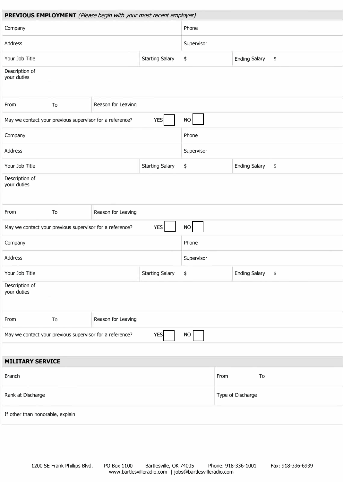|                                                                              |    | PREVIOUS EMPLOYMENT (Please begin with your most recent employer) |                        |            |                   |                      |    |
|------------------------------------------------------------------------------|----|-------------------------------------------------------------------|------------------------|------------|-------------------|----------------------|----|
| Company                                                                      |    |                                                                   |                        | Phone      |                   |                      |    |
| Address                                                                      |    |                                                                   |                        | Supervisor |                   |                      |    |
| Your Job Title<br><b>Starting Salary</b>                                     |    |                                                                   |                        | \$         |                   | <b>Ending Salary</b> | \$ |
| Description of<br>your duties                                                |    |                                                                   |                        |            |                   |                      |    |
| From                                                                         | To | Reason for Leaving                                                |                        |            |                   |                      |    |
| <b>YES</b><br>May we contact your previous supervisor for a reference?       |    |                                                                   |                        | <b>NO</b>  |                   |                      |    |
| Company                                                                      |    |                                                                   |                        | Phone      |                   |                      |    |
| Address                                                                      |    |                                                                   |                        | Supervisor |                   |                      |    |
| Your Job Title                                                               |    |                                                                   | <b>Starting Salary</b> | \$         |                   | <b>Ending Salary</b> | \$ |
| Description of<br>your duties                                                |    |                                                                   |                        |            |                   |                      |    |
| From                                                                         | To | Reason for Leaving                                                |                        |            |                   |                      |    |
| May we contact your previous supervisor for a reference?                     |    |                                                                   | <b>YES</b>             | <b>NO</b>  |                   |                      |    |
| Company                                                                      |    |                                                                   |                        | Phone      |                   |                      |    |
| Address                                                                      |    |                                                                   |                        | Supervisor |                   |                      |    |
| Your Job Title                                                               |    |                                                                   | <b>Starting Salary</b> | \$         |                   | <b>Ending Salary</b> | \$ |
| Description of<br>your duties                                                |    |                                                                   |                        |            |                   |                      |    |
| From                                                                         | To | Reason for Leaving                                                |                        |            |                   |                      |    |
| May we contact your previous supervisor for a reference?<br><b>YES</b><br>NO |    |                                                                   |                        |            |                   |                      |    |
|                                                                              |    |                                                                   |                        |            |                   |                      |    |
| <b>MILITARY SERVICE</b>                                                      |    |                                                                   |                        |            |                   |                      |    |
| <b>Branch</b>                                                                |    |                                                                   |                        |            | From              | To                   |    |
| Rank at Discharge                                                            |    |                                                                   |                        |            | Type of Discharge |                      |    |
| If other than honorable, explain                                             |    |                                                                   |                        |            |                   |                      |    |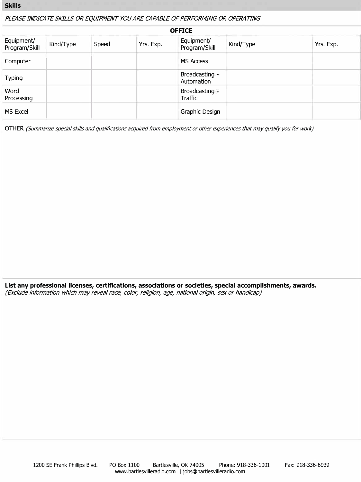#### **Skills**

*PLEASE IND/CA TE SKILLS OR EQUIPMENT YOU ARE CAPABLE OF PERFORMING OR OPERA TING* 

|                             |           |       |           | <b>OFFICE</b>                |           |           |
|-----------------------------|-----------|-------|-----------|------------------------------|-----------|-----------|
| Equipment/<br>Program/Skill | Kind/Type | Speed | Yrs. Exp. | Equipment/<br>Program/Skill  | Kind/Type | Yrs. Exp. |
| Computer                    |           |       |           | MS Access                    |           |           |
| <b>Typing</b>               |           |       |           | Broadcasting -<br>Automation |           |           |
| Word<br>Processing          |           |       |           | Broadcasting -<br>Traffic    |           |           |
| MS Excel                    |           |       |           | Graphic Design               |           |           |

**OTHER** *(Summarize special skills and qualifications acquired from employment or other experiences that may qualify you for work)* 

**List any professional licenses, certifications, associations or societies, special accomplishments, awards.**  *(Exclude information which may reveal race, color, religion, age, national origin, sex or handicap)*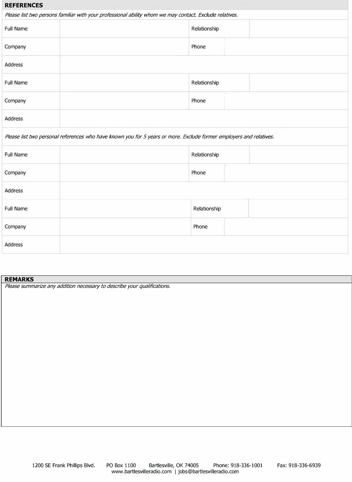| <b>REFERENCES</b>                                                                                       |                                                                                                                     |              |  |  |  |
|---------------------------------------------------------------------------------------------------------|---------------------------------------------------------------------------------------------------------------------|--------------|--|--|--|
| Please list two persons familiar with your professional ability whom we may contact. Exclude relatives. |                                                                                                                     |              |  |  |  |
| Full Name                                                                                               |                                                                                                                     | Relationship |  |  |  |
| Company                                                                                                 |                                                                                                                     | Phone        |  |  |  |
| Address                                                                                                 |                                                                                                                     |              |  |  |  |
| Full Name                                                                                               |                                                                                                                     | Relationship |  |  |  |
| Company                                                                                                 |                                                                                                                     | Phone        |  |  |  |
| Address                                                                                                 |                                                                                                                     |              |  |  |  |
|                                                                                                         | Please list two personal references who have known you for 5 years or more. Exclude former employers and relatives. |              |  |  |  |
| Full Name                                                                                               |                                                                                                                     | Relationship |  |  |  |
| Company                                                                                                 |                                                                                                                     | Phone        |  |  |  |
| <b>Address</b>                                                                                          |                                                                                                                     |              |  |  |  |
| Full Name                                                                                               |                                                                                                                     | Relationship |  |  |  |
| Company                                                                                                 |                                                                                                                     | Phone        |  |  |  |
| Address                                                                                                 |                                                                                                                     |              |  |  |  |

#### **REMARKS**

*Please summarize any addition necessary to describe your qualifications.*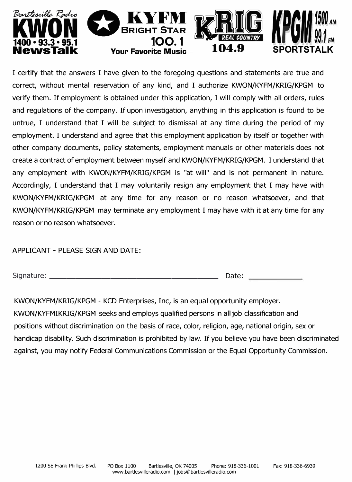

I certify that the answers I have given to the foregoing questions and statements are true and correct, without mental reservation of any kind, and I authorize KWON/KYFM/KRIG/KPGM to verify them. If employment is obtained under this application, I will comply with all orders, rules and regulations of the company. If upon investigation, anything in this application is found to be untrue, I understand that I will be subject to dismissal at any time during the period of my employment. I understand and agree that this employment application by itself or together with other company documents, policy statements, employment manuals or other materials does not create a contract of employment between myself and KWON/KYFM/KRIG/KPGM. I understand that any employment with KWON/KYFM/KRIG/KPGM is "at will" and is not permanent in nature. Accordingly, I understand that I may voluntarily resign any employment that I may have with KWON/KYFM/KRIG/KPGM at any time for any reason or no reason whatsoever, and that KWON/KYFM/KRIG/KPGM may terminate any employment I may have with it at any time for any reason or no reason whatsoever.

#### APPLICANT - PLEASE SIGN AND DATE:

Signature: \_\_\_\_\_\_\_\_\_\_\_\_\_\_\_\_\_\_ \_ Date:

KWON/KYFM/KRIG/KPGM - KCD Enterprises, Inc, is an equal opportunity employer. KWON/KYFMIKRIG/KPGM seeks and employs qualified persons in all job classification and positions without discrimination on the basis of race, color, religion, age, national origin, sex or handicap disability. Such discrimination is prohibited by law. If you believe you have been discriminated against, you may notify Federal Communications Commission or the Equal Opportunity Commission.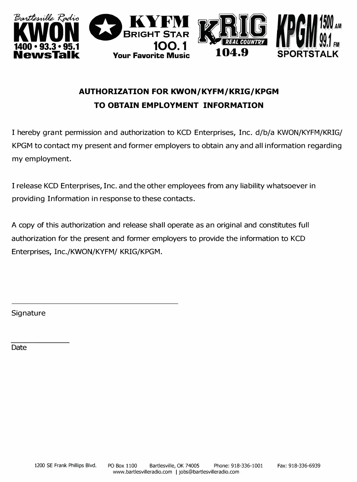

### **AUTHORIZATION FOR KWON/KYFM/KRIG/KPGM TO OBTAIN EMPLOYMENT INFORMATION**

I hereby grant permission and authorization to KCD Enterprises, Inc. d/b/a KWON/KYFM/KRIG/ KPGM to contact my present and former employers to obtain any and all information regarding my employment.

I release KCD Enterprises, Inc. and the other employees from any liability whatsoever in providing Information in response to these contacts.

A copy of this authorization and release shall operate as an original and constitutes full authorization for the present and former employers to provide the information to KCD Enterprises, **Inc./KWON/KYFM/ KRIG/KPGM.** 

**Signature** 

Date